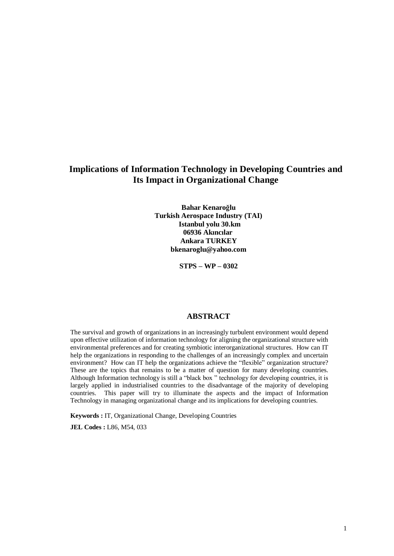# **Implications of Information Technology in Developing Countries and Its Impact in Organizational Change**

**Bahar Kenaroðlu Turkish Aerospace Industry (TAI) Istanbul yolu 30.km 06936 Ak˝nc˝lar Ankara TURKEY [bkenaroglu@yahoo.com](mailto:bkenaroglu@yahoo.com)**

**STPS ñ WP ñ 0302**

## **ABSTRACT**

The survival and growth of organizations in an increasingly turbulent environment would depend upon effective utilization of information technology for aligning the organizational structure with environmental preferences and for creating symbiotic interorganizational structures. How can IT help the organizations in responding to the challenges of an increasingly complex and uncertain environment? How can IT help the organizations achieve the "flexible" organization structure? These are the topics that remains to be a matter of question for many developing countries. Although Information technology is still a "black box " technology for developing countries, it is largely applied in industrialised countries to the disadvantage of the majority of developing countries. This paper will try to illuminate the aspects and the impact of Information Technology in managing organizational change and its implications for developing countries.

**Keywords :** IT, Organizational Change, Developing Countries

**JEL Codes :** L86, M54, 033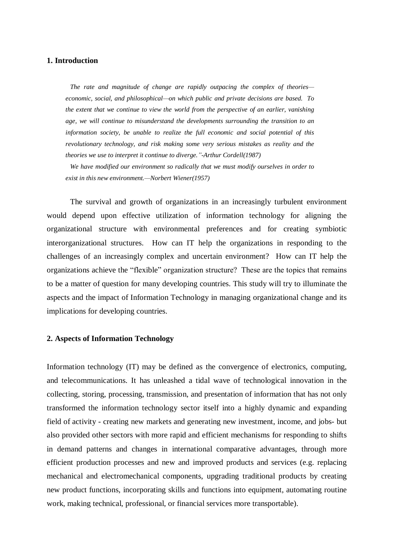## **1. Introduction**

*The rate and magnitude of change are rapidly outpacing the complex of theoriesó economic, social, and philosophicalóon which public and private decisions are based. To the extent that we continue to view the world from the perspective of an earlier, vanishing age, we will continue to misunderstand the developments surrounding the transition to an information society, be unable to realize the full economic and social potential of this revolutionary technology, and risk making some very serious mistakes as reality and the theories we use to interpret it continue to diverge.î-Arthur Cordell(1987)*

*We have modified our environment so radically that we must modify ourselves in order to exist in this new environment.óNorbert Wiener(1957)*

The survival and growth of organizations in an increasingly turbulent environment would depend upon effective utilization of information technology for aligning the organizational structure with environmental preferences and for creating symbiotic interorganizational structures. How can IT help the organizations in responding to the challenges of an increasingly complex and uncertain environment? How can IT help the organizations achieve the "flexible" organization structure? These are the topics that remains to be a matter of question for many developing countries. This study will try to illuminate the aspects and the impact of Information Technology in managing organizational change and its implications for developing countries.

#### **2. Aspects of Information Technology**

Information technology (IT) may be defined as the convergence of electronics, computing, and telecommunications. It has unleashed a tidal wave of technological innovation in the collecting, storing, processing, transmission, and presentation of information that has not only transformed the information technology sector itself into a highly dynamic and expanding field of activity - creating new markets and generating new investment, income, and jobs- but also provided other sectors with more rapid and efficient mechanisms for responding to shifts in demand patterns and changes in international comparative advantages, through more efficient production processes and new and improved products and services (e.g. replacing mechanical and electromechanical components, upgrading traditional products by creating new product functions, incorporating skills and functions into equipment, automating routine work, making technical, professional, or financial services more transportable).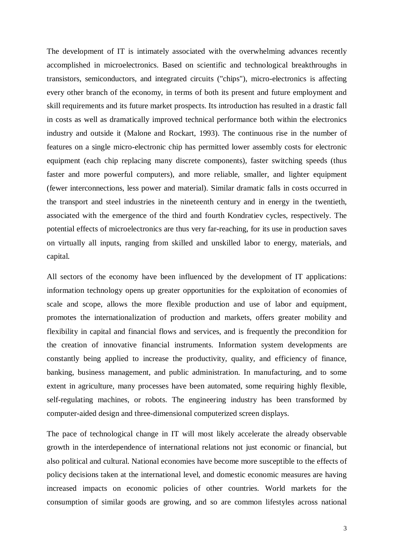The development of IT is intimately associated with the overwhelming advances recently accomplished in microelectronics. Based on scientific and technological breakthroughs in transistors, semiconductors, and integrated circuits ("chips"), micro-electronics is affecting every other branch of the economy, in terms of both its present and future employment and skill requirements and its future market prospects. Its introduction has resulted in a drastic fall in costs as well as dramatically improved technical performance both within the electronics industry and outside it (Malone and Rockart, 1993). The continuous rise in the number of features on a single micro-electronic chip has permitted lower assembly costs for electronic equipment (each chip replacing many discrete components), faster switching speeds (thus faster and more powerful computers), and more reliable, smaller, and lighter equipment (fewer interconnections, less power and material). Similar dramatic falls in costs occurred in the transport and steel industries in the nineteenth century and in energy in the twentieth, associated with the emergence of the third and fourth Kondratiev cycles, respectively. The potential effects of microelectronics are thus very far-reaching, for its use in production saves on virtually all inputs, ranging from skilled and unskilled labor to energy, materials, and capital.

All sectors of the economy have been influenced by the development of IT applications: information technology opens up greater opportunities for the exploitation of economies of scale and scope, allows the more flexible production and use of labor and equipment, promotes the internationalization of production and markets, offers greater mobility and flexibility in capital and financial flows and services, and is frequently the precondition for the creation of innovative financial instruments. Information system developments are constantly being applied to increase the productivity, quality, and efficiency of finance, banking, business management, and public administration. In manufacturing, and to some extent in agriculture, many processes have been automated, some requiring highly flexible, self-regulating machines, or robots. The engineering industry has been transformed by computer-aided design and three-dimensional computerized screen displays.

The pace of technological change in IT will most likely accelerate the already observable growth in the interdependence of international relations not just economic or financial, but also political and cultural. National economies have become more susceptible to the effects of policy decisions taken at the international level, and domestic economic measures are having increased impacts on economic policies of other countries. World markets for the consumption of similar goods are growing, and so are common lifestyles across national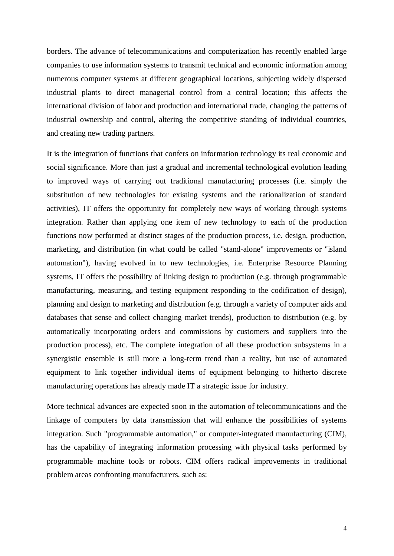borders. The advance of telecommunications and computerization has recently enabled large companies to use information systems to transmit technical and economic information among numerous computer systems at different geographical locations, subjecting widely dispersed industrial plants to direct managerial control from acentral location; this affects the international division of labor and production and international trade, changing the patterns of industrial ownership and control, altering the competitive standing of individual countries, and creating new trading partners.

It is the integration of functions that confers on information technology its real economic and social significance. More than just a gradual and incremental technological evolution leading to improved ways of carrying out traditional manufacturing processes (i.e. simply the substitution of new technologies for existing systems and the rationalization of standard activities), IT offers the opportunity for completely new ways of working through systems integration. Rather than applying one item of new technology to each of the production functions now performed at distinct stages of the production process, i.e. design, production, marketing, and distribution (in what could be called "stand-alone" improvements or "island automation"), having evolved in to new technologies, i.e. Enterprise Resource Planning systems, IT offers the possibility of linking design to production (e.g. through programmable manufacturing, measuring, and testing equipment responding to the codification of design), planning and design to marketing and distribution (e.g. through a variety of computer aids and databases that sense and collect changing market trends), production to distribution (e.g. by automatically incorporating orders and commissions by customers and suppliers into the production process), etc. The complete integration of all these production subsystems in a synergistic ensemble is still more a long-term trend than a reality, but use of automated equipment to link together individual items of equipment belonging to hitherto discrete manufacturing operations has already made IT a strategic issue for industry.

More technical advances are expected soon in the automation of telecommunications and the linkage of computers by data transmission that will enhance the possibilities of systems integration. Such "programmable automation," or computer-integrated manufacturing (CIM), has the capability of integrating information processing with physical tasks performed by programmable machine tools or robots. CIM offers radical improvements in traditional problem areas confronting manufacturers, such as: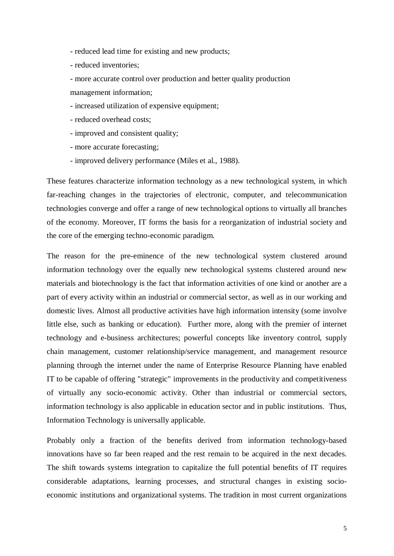- reduced lead time for existing and new products;

- reduced inventories;

- more accurate control over production and better quality production management information;

- increased utilization of expensive equipment;
- reduced overhead costs;
- improved and consistent quality;
- more accurate forecasting;
- improved delivery performance (Miles et al., 1988).

These features characterize information technology as a new technological system, in which far-reaching changes in the trajectories of electronic, computer, and telecommunication technologies converge and offer a range of new technological options to virtually all branches of the economy. Moreover, IT forms the basis for a reorganization of industrial society and the core of the emerging techno-economic paradigm.

The reason for the pre-eminence of the new technological system clustered around information technology over the equally new technological systems clustered around new materials and biotechnology is the fact that information activities of one kind or another are a part of every activity within an industrial or commercial sector, as well as in our working and domestic lives. Almost all productive activities have high information intensity (some involve little else, such as banking or education). Further more, along with the premier of internet technology and e-business architectures; powerful concepts like inventory control, supply chain management, customer relationship/service management, and management resource planning through the internet under the name of Enterprise Resource Planning have enabled IT to be capable of offering "strategic" improvements in the productivity and competitiveness of virtually any socio-economic activity. Other than industrial or commercial sectors, information technology is also applicable in education sector and in public institutions. Thus, Information Technology is universally applicable.

Probably only a fraction of the benefits derived from information technology-based innovations have so far been reaped and the rest remain to be acquired in the next decades. The shift towards systems integration to capitalize the full potential benefits of IT requires considerable adaptations, learning processes, and structural changes in existing socioeconomic institutions and organizational systems. The tradition in most current organizations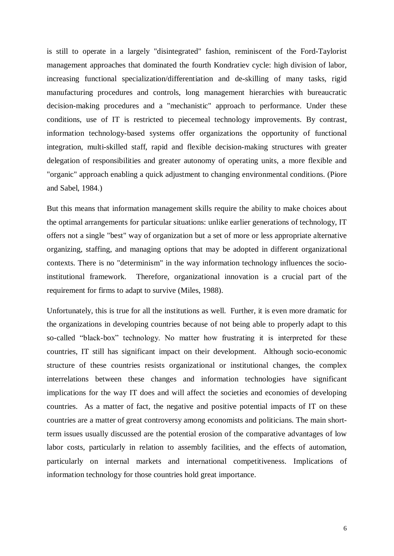is still to operate in a largely "disintegrated" fashion, reminiscent of the Ford-Taylorist management approaches that dominated the fourth Kondratiev cycle: high division of labor, increasing functional specialization/differentiation and de-skilling of many tasks, rigid manufacturing procedures and controls, long management hierarchies with bureaucratic decision-making procedures and a "mechanistic" approach to performance. Under these conditions, use of IT is restricted to piecemeal technology improvements. By contrast, information technology-based systems offer organizations the opportunity of functional integration, multi-skilled staff, rapid and flexible decision-making structures with greater delegation of responsibilities and greater autonomy of operating units, a more flexible and "organic" approach enabling a quick adjustment to changing environmental conditions. (Piore and Sabel, 1984.)

But this means that information management skills require the ability to make choices about the optimal arrangements for particular situations: unlike earlier generations of technology, IT offers not a single "best" way of organization but a set of more or less appropriate alternative organizing, staffing, and managing options that may be adopted in different organizational contexts. There is no "determinism" in the way information technology influences the socioinstitutional framework. Therefore, organizational innovation is a crucial part of the requirement for firms to adapt to survive (Miles, 1988).

Unfortunately, this is true for all the institutions as well. Further, it is even more dramatic for the organizations in developing countries because of not being able to properly adapt to this so-called "black-box" technology. No matter how frustrating it is interpreted for these countries, IT still has significant impact on their development. Although socio-economic structure of these countries resists organizational or institutional changes, the complex interrelations between these changes and information technologies have significant implications for the way IT does and will affect the societies and economies of developing countries. As a matter of fact, the negative and positive potential impacts of IT on these countries are a matter of great controversy among economists and politicians. The main shortterm issues usually discussed are the potential erosion of the comparative advantages of low labor costs, particularly in relation to assembly facilities, and the effects of automation, particularly on internal markets and international competitiveness. Implications of information technology for those countries hold great importance.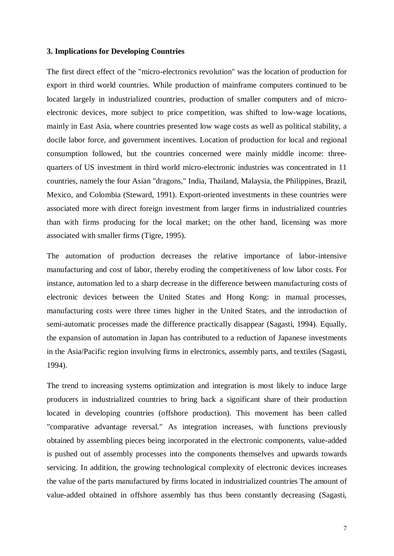## **3. Implications for Developing Countries**

The first direct effect of the "micro-electronics revolution" was the location of production for export in third world countries. While production of mainframe computers continued to be located largely in industrialized countries, production of smaller computers and of microelectronic devices, more subject to price competition, was shifted to low-wage locations, mainly in East Asia, where countries presented low wage costs as well as political stability, a docile labor force, and government incentives. Location of production for local and regional consumption followed, but the countries concerned were mainly middle income: threequarters of US investment in third world micro-electronic industries was concentrated in 11 countries, namely the four Asian "dragons," India, Thailand, Malaysia, the Philippines, Brazil, Mexico, and Colombia (Steward, 1991). Export-oriented investments in these countries were associated more with direct foreign investment from larger firms in industrialized countries than with firms producing for the local market; on the other hand, licensing was more associated with smaller firms (Tigre, 1995).

The automation of production decreases the relative importance of labor-intensive manufacturing and cost of labor, thereby eroding the competitiveness of low labor costs. For instance, automation led to a sharp decrease in the difference between manufacturing costs of electronic devices between the United States and Hong Kong: in manual processes, manufacturing costs were three times higher in the United States, and the introduction of semi-automatic processes made the difference practically disappear (Sagasti, 1994). Equally, the expansion of automation in Japan has contributed to a reduction of Japanese investments in the Asia/Pacific region involving firms in electronics, assembly parts, and textiles (Sagasti, 1994).

The trend to increasing systems optimization and integration is most likely to induce large producers in industrialized countries to bring back a significant share of their production located in developing countries (offshore production). This movement has been called "comparative advantage reversal." As integration increases, with functions previously obtained by assembling pieces being incorporated in the electronic components, value-added is pushed out of assembly processes into the components themselves and upwards towards servicing. In addition, the growing technological complexity of electronic devices increases the value of the parts manufactured by firms located in industrialized countries The amount of value-added obtained in offshore assembly has thus been constantly decreasing (Sagasti,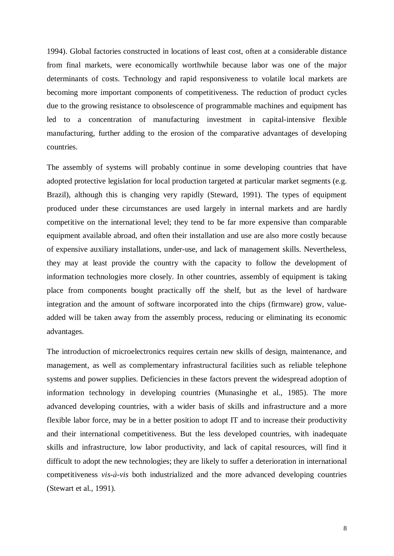1994). Global factories constructed in locations of least cost, often at a considerable distance from final markets, were economically worthwhile because labor was one of the major determinants of costs. Technology and rapid responsiveness to volatile local markets are becoming more important components of competitiveness. The reduction of product cycles due to the growing resistance to obsolescence of programmable machines and equipment has led to a concentration of manufacturing investment in capital-intensive flexible manufacturing, further adding to the erosion of the comparative advantages of developing countries.

The assembly of systems will probably continue in some developing countries that have adopted protective legislation for local production targeted at particular market segments (e.g. Brazil), although this is changing very rapidly (Steward, 1991). The types of equipment produced under these circumstances are used largely in internal markets and are hardly competitive on the international level; they tend to be far more expensive than comparable equipment available abroad, and often their installation and use are also more costly because of expensive auxiliary installations, under-use, and lack of management skills. Nevertheless, they may at least provide the country with the capacity to follow the development of information technologies more closely. In other countries, assembly of equipment is taking place from components bought practically off the shelf, but as the level of hardware integration and the amount of software incorporated into the chips (firmware) grow, valueadded will be taken away from the assembly process, reducing or eliminating its economic advantages.

The introduction of microelectronics requires certain new skills of design, maintenance, and management, as well as complementary infrastructural facilities such as reliable telephone systems and power supplies. Deficiencies in these factors prevent the widespread adoption of information technology in developing countries (Munasinghe et al., 1985). The more advanced developing countries, with a wider basis of skills and infrastructure and a more flexible labor force, may be in a better position to adopt IT and to increase their productivity and their international competitiveness. But the less developed countries, with inadequate skills and infrastructure, low labor productivity, and lack of capital resources, will find it difficult to adopt the new technologies; they are likely to suffer a deterioration in international competitiveness *vis-‡-vis* both industrialized and the more advanced developing countries (Stewart et al., 1991).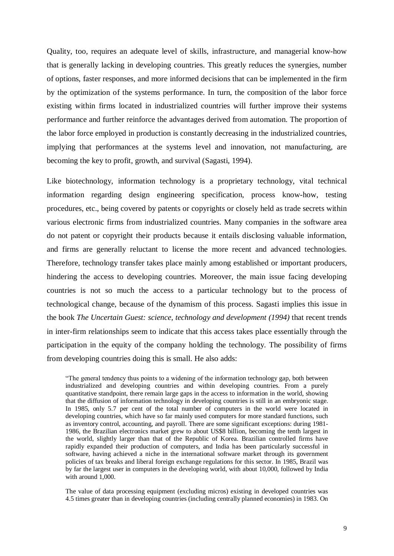Quality, too, requires an adequate level of skills, infrastructure, and managerial know-how that is generally lacking in developing countries. This greatly reduces the synergies, number of options, faster responses, and more informed decisions that can be implemented in the firm by the optimization of the systems performance. In turn, the composition of the labor force existing within firms located in industrialized countries will further improve their systems performance and further reinforce the advantages derived from automation. The proportion of the labor force employed in production is constantly decreasing in the industrialized countries, implying that performances at the systems level and innovation, not manufacturing, are becoming the key to profit, growth, and survival (Sagasti, 1994).

Like biotechnology, information technology is a proprietary technology, vital technical information regarding design engineering specification, process know-how, testing procedures, etc., being covered by patents or copyrights or closely held as trade secrets within various electronic firms from industrialized countries. Many companies in the software area do not patent or copyright their products because it entails disclosing valuable information, and firms are generally reluctant to license the more recent and advanced technologies. Therefore, technology transfer takes place mainly among established or important producers, hindering the access to developing countries. Moreover, the main issue facing developing countries is not so much the access to a particular technology but to the process of technological change, because of the dynamism of this process. Sagasti implies this issue in the book *The Uncertain Guest: science, technology and development (1994)* that recent trends in inter-firm relationships seem to indicate that this access takes place essentially through the participation in the equity of the company holding the technology. The possibility of firms from developing countries doing this is small. He also adds:

ìThe general tendency thus points to a widening of the information technology gap, both between industrialized and developing countries and within developing countries. From a purely quantitative standpoint, there remain large gaps in the access to information in the world, showing that the diffusion of information technology in developing countries is still in an embryonic stage. In 1985, only 5.7 per cent of the total number of computers in the world were located in developing countries, which have so far mainly used computers for more standard functions, such as inventory control, accounting, and payroll. There are some significant exceptions: during 1981- 1986, the Brazilian electronics market grew to about US\$8 billion, becoming the tenth largest in the world, slightly larger than that of the Republic of Korea. Brazilian controlled firms have rapidly expanded their production of computers, and India has been particularly successful in software, having achieved a niche in the international software market through its government policies of tax breaks and liberal foreign exchange regulations for this sector. In 1985, Brazil was by far the largest user in computers in the developing world, with about 10,000, followed by India with around 1,000.

The value of data processing equipment (excluding micros) existing in developed countries was 4.5 times greater than in developing countries (including centrally planned economies) in 1983. On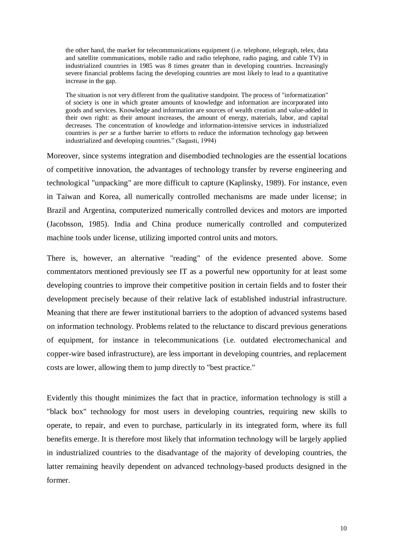the other hand, the market for telecommunications equipment (i.e. telephone, telegraph, telex, data and satellite communications, mobile radio and radio telephone, radio paging, and cable TV) in industrialized countries in 1985 was 8 times greater than in developing countries. Increasingly severe financial problems facing the developing countries are most likely to lead to a quantitative increase in the gap.

The situation is not very different from the qualitative standpoint. The process of "informatization" of society is one in which greater amounts of knowledge and information are incorporated into goods and services. Knowledge and information are sources of wealth creation and value-added in their own right: as their amount increases, the amount of energy, materials, labor, and capital decreases. The concentration of knowledge and information-intensive services in industrialized countries is *per se* a further barrier to efforts to reduce the information technology gap between industrialized and developing countries." (Sagasti, 1994)

Moreover, since systems integration and disembodied technologies are the essential locations of competitive innovation, the advantages of technology transfer by reverse engineering and technological "unpacking" are more difficult to capture (Kaplinsky, 1989). For instance, even in Taiwan and Korea, all numerically controlled mechanisms are made under license; in Brazil and Argentina, computerized numerically controlled devices and motors are imported (Jacobsson, 1985). India and China produce numerically controlled and computerized machine tools under license, utilizing imported control units and motors.

There is, however, an alternative "reading" of the evidence presented above. Some commentators mentioned previously see IT as a powerful new opportunity for at least some developing countries to improve their competitive position in certain fields and to foster their development precisely because of their relative lack of established industrial infrastructure. Meaning that there are fewer institutional barriers to the adoption of advanced systems based on information technology. Problems related to the reluctance to discard previous generations of equipment, for instance in telecommunications (i.e. outdated electromechanical and copper-wire based infrastructure), are less important in developing countries, and replacement costs are lower, allowing them to jump directly to "best practice."

Evidently this thought minimizes the fact that in practice, information technology is still a "black box" technology for most users in developing countries, requiring new skills to operate, to repair, and even to purchase, particularly in its integrated form, where its full benefits emerge. It is therefore most likely that information technology will be largely applied in industrialized countries to the disadvantage of the majority of developing countries, the latter remaining heavily dependent on advanced technology-based products designed in the former.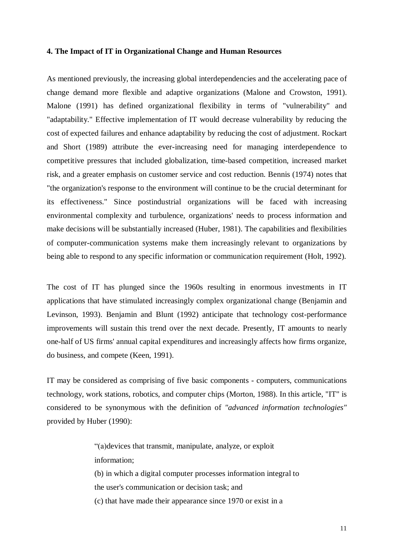## **4. The Impact of IT in Organizational Change and Human Resources**

As mentioned previously, the increasing global interdependencies and the accelerating pace of change demand more flexible and adaptive organizations (Malone and Crowston, 1991). Malone (1991) has defined organizational flexibility in terms of "vulnerability" and "adaptability." Effective implementation of IT would decrease vulnerability by reducing the cost of expected failures and enhance adaptability by reducing the cost of adjustment. Rockart and Short (1989) attribute the ever-increasing need for managing interdependence to competitive pressures that included globalization, time-based competition, increased market risk, and a greater emphasis on customer service and cost reduction. Bennis (1974) notes that "the organization's response to the environment will continue to be the crucial determinant for its effectiveness." Since postindustrial organizations will be faced with increasing environmental complexity and turbulence, organizations' needs to process information and make decisions will be substantially increased (Huber, 1981). The capabilities and flexibilities of computer-communication systems make them increasingly relevant to organizations by being able to respond to any specific information or communication requirement (Holt, 1992).

The cost of IT has plunged since the 1960s resulting in enormous investments in IT applications that have stimulated increasingly complex organizational change (Benjamin and Levinson, 1993). Benjamin and Blunt (1992) anticipate that technology cost-performance improvements will sustain this trend over the next decade. Presently, IT amounts to nearly one-half of US firms' annual capital expenditures and increasingly affects how firms organize, do business, and compete (Keen, 1991).

IT may be considered as comprising of five basic components - computers, communications technology, work stations, robotics, and computer chips (Morton, 1988). In this article, "IT" is considered to be synonymous with the definition of *"advanced information technologies"* provided by Huber (1990):

> ì(a)devices that transmit, manipulate, analyze, or exploit information; (b) in which a digital computer processes information integral to the user's communication or decision task; and (c) that have made their appearance since 1970 or exist in a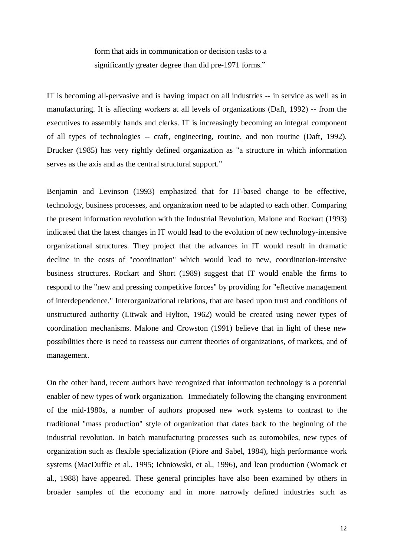form that aids in communication or decision tasks to a significantly greater degree than did pre-1971 forms."

IT is becoming all-pervasive and is having impact on all industries -- in service as well as in manufacturing. It is affecting workers at all levels of organizations (Daft, 1992) -- from the executives to assembly hands and clerks. IT is increasingly becoming an integral component of all types of technologies -- craft, engineering, routine, and non routine (Daft, 1992). Drucker (1985) has very rightly defined organization as "a structure in which information serves as the axis and as the central structural support."

Benjamin and Levinson (1993) emphasized that for IT-based change to be effective, technology, business processes, and organization need to be adapted to each other. Comparing the present information revolution with the Industrial Revolution, Malone and Rockart (1993) indicated that the latest changes in IT would lead to the evolution of new technology-intensive organizational structures. They project that the advances in IT would result in dramatic decline in the costs of "coordination" which would lead to new, coordination-intensive business structures. Rockart and Short (1989) suggest that IT would enable the firms to respond to the "new and pressing competitive forces" by providing for "effective management of interdependence." Interorganizational relations, that are based upon trust and conditions of unstructured authority (Litwak and Hylton, 1962) would be created using newer types of coordination mechanisms. Malone and Crowston (1991) believe that in light of these new possibilities there is need to reassess our current theories of organizations, of markets, and of management.

On the other hand, recent authors have recognized that information technology is a potential enabler of new types of work organization. Immediately following the changing environment of the mid-1980s, a number of authors proposed new work systems to contrast to the traditional "mass production" style of organization that dates back to the beginning of the industrial revolution. In batch manufacturing processes such as automobiles, new types of organization such as flexible specialization (Piore and Sabel, 1984), high performance work systems (MacDuffie et al., 1995; Ichniowski, et al., 1996), and lean production (Womack et al., 1988) have appeared. These general principles have also been examined by others in broader samples of the economy and in more narrowly defined industries such as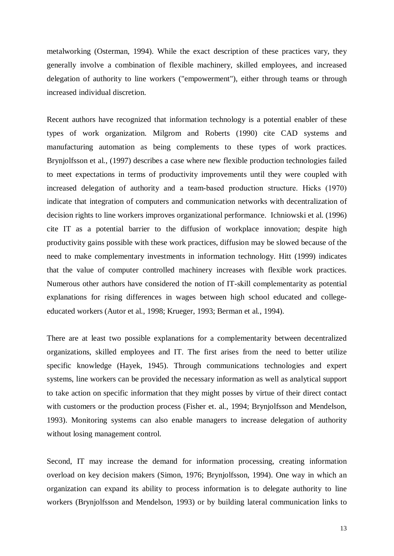metalworking (Osterman, 1994). While the exact description of these practices vary, they generally involve a combination of flexible machinery, skilled employees, and increased delegation of authority to line workers ("empowerment"), either through teams or through increased individual discretion.

Recent authors have recognized that information technology is a potential enabler of these types of work organization. Milgrom and Roberts (1990) cite CAD systems and manufacturing automation as being complements to these types of work practices. Brynjolfsson et al., (1997) describes a case where new flexible production technologies failed to meet expectations in terms of productivity improvements until they were coupled with increased delegation of authority and a teambased production structure. Hicks (1970) indicate that integration of computers and communication networks with decentralization of decision rights to line workers improves organizational performance. Ichniowski et al. (1996) cite IT as a potential barrier to the diffusion of workplace innovation; despite high productivity gains possible with these work practices, diffusion may be slowed because of the need to make complementary investments in information technology. Hitt (1999) indicates that the value of computer controlled machinery increases with flexible work practices. Numerous other authors have considered the notion of IT-skill complementarity as potential explanations for rising differences in wages between high school educated and collegeeducated workers (Autor et al., 1998; Krueger, 1993; Berman et al., 1994).

There are at least two possible explanations for a complementarity between decentralized organizations, skilled employees and IT. The first arises from the need to better utilize specific knowledge (Hayek, 1945). Through communications technologies and expert systems, line workers can be provided the necessary information as well as analytical support to take action on specific information that they might posses by virtue of their direct contact with customers or the production process (Fisher et. al., 1994; Brynjolfsson and Mendelson, 1993). Monitoring systems can also enable managers to increase delegation of authority without losing management control.

Second, IT may increase the demand for information processing, creating information overload on key decision makers (Simon, 1976; Brynjolfsson, 1994). One way in which an organization can expand its ability to process information is to delegate authority to line workers (Brynjolfsson and Mendelson, 1993) or by building lateral communication links to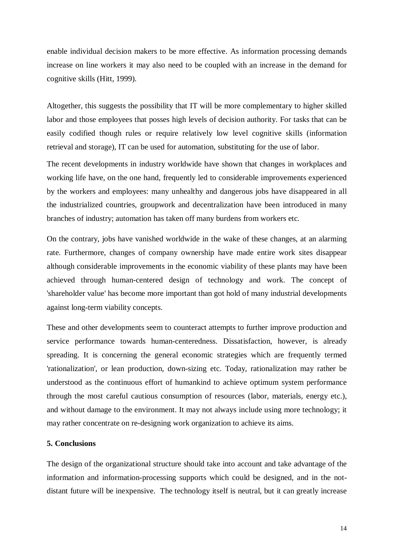enable individual decision makers to be more effective. As information processing demands increase on line workers it may also need to be coupled with an increase in the demand for cognitive skills (Hitt, 1999).

Altogether, this suggests the possibility that IT will be more complementary to higher skilled labor and those employees that posses high levels of decision authority. For tasks that can be easily codified though rules or require relatively low level cognitive skills (information retrieval and storage), IT can be used for automation, substituting for the use of labor.

The recent developments in industry worldwide have shown that changes in workplaces and working life have, on the one hand, frequently led to considerable improvements experienced by the workers and employees: many unhealthy and dangerous jobs have disappeared in all the industrialized countries, groupwork and decentralization have been introduced in many branches of industry; automation has taken off many burdens from workers etc.

On the contrary, jobs have vanished worldwide in the wake of these changes, at an alarming rate. Furthermore, changes of company ownership have made entire work sites disappear although considerable improvements in the economic viability of these plants may have been achieved through human-centered design of technology and work. The concept of 'shareholder value' has become more important than got hold of many industrial developments against long-term viability concepts.

These and other developments seem to counteract attempts to further improve production and service performance towards human-centeredness. Dissatisfaction, however, is already spreading. It is concerning the general economic strategies which are frequently termed 'rationalization', or lean production, down-sizing etc. Today, rationalization may rather be understood as the continuous effort of humankind to achieve optimum system performance through the most careful cautious consumption of resources (labor, materials, energy etc.), and without damage to the environment. It may not always include using more technology; it may rather concentrate on re-designing work organization to achieve its aims.

### **5. Conclusions**

The design of the organizational structure should take into account and take advantage of the information and information-processing supports which could be designed, and in the notdistant future will be inexpensive. The technology itself is neutral, but it can greatly increase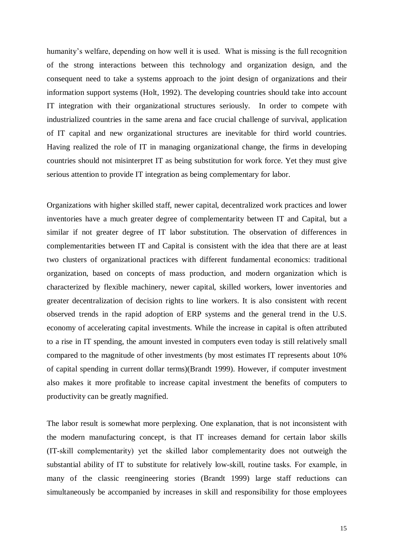humanity's welfare, depending on how well it is used. What is missing is the full recognition of the strong interactions between this technology and organization design, and the consequent need to take a systems approach to the joint design of organizations and their information support systems (Holt, 1992). The developing countries should take into account IT integration with their organizational structures seriously. In order to compete with industrialized countries in the same arena and face crucial challenge of survival, application of IT capital and new organizational structures are inevitable for third world countries. Having realized the role of IT in managing organizational change, the firms in developing countries should not misinterpret IT as being substitution for work force. Yet they must give serious attention to provide IT integration as being complementary for labor.

Organizations with higher skilled staff, newer capital, decentralized work practices and lower inventories have a much greater degree of complementarity between IT and Capital, but a similar if not greater degree of IT labor substitution. The observation of differences in complementarities between IT and Capital is consistent with the idea that there are at least two clusters of organizational practices with different fundamental economics: traditional organization, based on concepts of mass production, and modern organization which is characterized by flexible machinery, newer capital, skilled workers, lower inventories and greater decentralization of decision rights to line workers. It is also consistent with recent observed trends in the rapid adoption of ERP systems and the general trend in the U.S. economy of accelerating capital investments. While the increase in capital is often attributed to a rise in IT spending, the amount invested in computers even today is still relatively small compared to the magnitude of other investments (by most estimates IT represents about 10% of capital spending in current dollar terms)(Brandt 1999). However, if computer investment also makes it more profitable to increase capital investment the benefits of computers to productivity can be greatly magnified.

The labor result is somewhat more perplexing. One explanation, that is not inconsistent with the modern manufacturing concept, is that IT increases demand for certain labor skills (ITskill complementarity) yet the skilled labor complementarity does not outweigh the substantial ability of IT to substitute for relatively low-skill, routine tasks. For example, in many of the classic reengineering stories (Brandt 1999) large staff reductions can simultaneously be accompanied by increases in skill and responsibility for those employees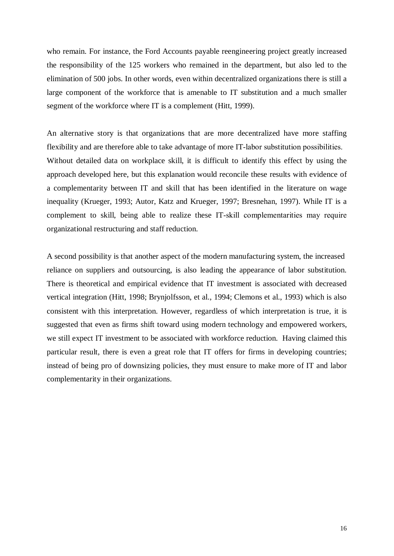who remain. For instance, the Ford Accounts payable reengineering project greatly increased the responsibility of the 125 workers who remained in the department, but also led to the elimination of 500 jobs. In other words, even within decentralized organizations there is still a large component of the workforce that is amenable to IT substitution and a much smaller segment of the workforce where IT is a complement (Hitt, 1999).

An alternative story is that organizations that are more decentralized have more staffing flexibility and are therefore able to take advantage of more IT-labor substitution possibilities. Without detailed data on workplace skill, it is difficult to identify this effect by using the approach developed here, but this explanation would reconcile these results with evidence of a complementarity between IT and skill that has been identified in the literature on wage inequality (Krueger, 1993; Autor, Katz and Krueger, 1997; Bresnehan, 1997). While IT is a complement to skill, being able to realize these IT-skill complementarities may require organizational restructuring and staff reduction.

A second possibility is that another aspect of the modern manufacturing system, the increased reliance on suppliers and outsourcing, is also leading the appearance of labor substitution. There is theoretical and empirical evidence that IT investment is associated with decreased vertical integration (Hitt, 1998; Brynjolfsson, et al., 1994; Clemons et al., 1993) which is also consistent with this interpretation. However, regardless of which interpretation is true, it is suggested that even as firms shift toward using modern technology and empowered workers, we still expect IT investment to be associated with workforce reduction. Having claimed this particular result, there is even a great role that IT offers for firms in developing countries; instead of being pro of downsizing policies, they must ensure to make more of IT and labor complementarity in their organizations.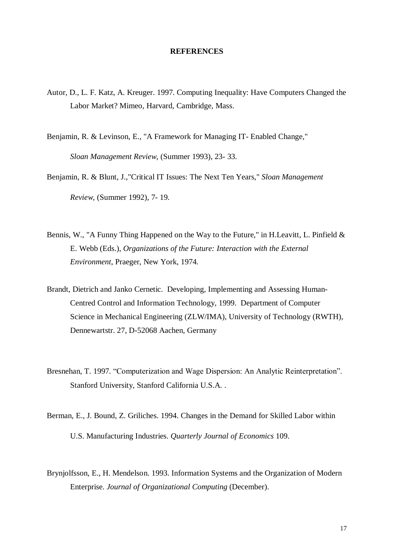#### **REFERENCES**

- Autor, D., L. F. Katz, A. Kreuger. 1997. Computing Inequality: Have Computers Changed the Labor Market? Mimeo, Harvard, Cambridge, Mass.
- Benjamin, R. & Levinson, E., "A Framework for Managing IT- Enabled Change," *Sloan Management Review*, (Summer 1993), 23- 33.
- Benjamin, R. & Blunt, J.,"Critical IT Issues: The Next Ten Years," *Sloan Management Review*, (Summer 1992), 7- 19.
- Bennis, W., "A Funny Thing Happened on the Way to the Future," in H.Leavitt, L. Pinfield & E. Webb (Eds.), *Organizations of the Future: Interaction with the External Environment*, Praeger, New York, 1974.
- Brandt, Dietrich and Janko Cernetic. Developing, Implementing and Assessing Human- Centred Control and Information Technology, 1999. Department of Computer Science in Mechanical Engineering (ZLW/IMA), University of Technology (RWTH), Dennewartstr. 27, D-52068 Aachen, Germany
- Bresnehan, T. 1997. "Computerization and Wage Dispersion: An Analytic Reinterpretation". Stanford University, Stanford California U.S.A. .
- Berman, E., J. Bound, Z. Griliches. 1994. Changes in the Demand for Skilled Labor within U.S. Manufacturing Industries. *Quarterly Journal of Economics* 109.
- Brynjolfsson, E., H. Mendelson. 1993. Information Systems and the Organization of Modern Enterprise. *Journal of Organizational Computing* (December).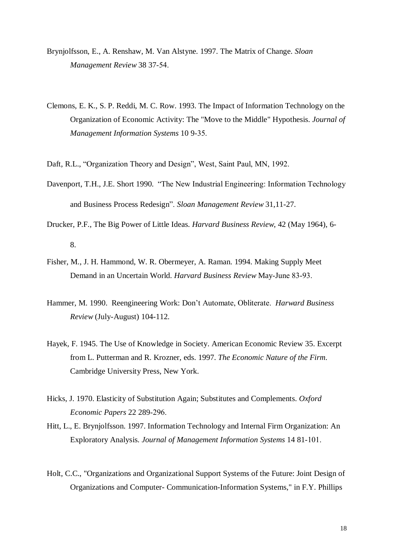- Brynjolfsson, E., A. Renshaw, M. Van Alstyne. 1997. The Matrix of Change. *Sloan Management Review* 38 37-54.
- Clemons, E. K., S. P. Reddi, M. C. Row. 1993. The Impact of Information Technology on the Organization of Economic Activity: The "Move to the Middle" Hypothesis. *Journal of Management Information Systems* 10 9-35.
- Daft, R.L., "Organization Theory and Design", West, Saint Paul, MN, 1992.
- Davenport, T.H., J.E. Short 1990. "The New Industrial Engineering: Information Technology and Business Process Redesignî. *Sloan Management Review* 31,11-27.
- Drucker, P.F., The Big Power of Little Ideas. *Harvard Business Review*, 42 (May 1964), 6- 8.
- Fisher, M., J. H. Hammond, W. R. Obermeyer, A. Raman. 1994. Making Supply Meet Demand in an Uncertain World. *Harvard Business Review* May-June 83-93.
- Hammer, M. 1990. Reengineering Work: Donít Automate, Obliterate. *Harward Business Review* (July-August) 104-112.
- Hayek, F. 1945. The Use of Knowledge in Society. American Economic Review 35. Excerpt from L. Putterman and R. Krozner, eds. 1997. *The Economic Nature of the Firm*. Cambridge University Press, New York.
- Hicks, J. 1970. Elasticity of Substitution Again; Substitutes and Complements. *Oxford Economic Papers* 22 289-296.
- Hitt, L., E. Brynjolfsson. 1997. Information Technology and Internal Firm Organization: An Exploratory Analysis. *Journal of Management Information Systems* 14 81-101.
- Holt, C.C., "Organizations and Organizational Support Systems of the Future: Joint Design of Organizations and Computer- Communication-Information Systems," in F.Y. Phillips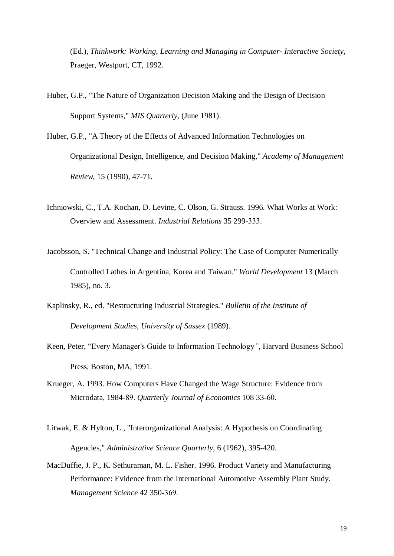(Ed.), *Thinkwork: Working, Learning and Managing in Computer- Interactive Society*, Praeger, Westport, CT, 1992.

- Huber, G.P., "The Nature of Organization Decision Making and the Design of Decision Support Systems," *MIS Quarterly*, (June 1981).
- Huber, G.P., "A Theory of the Effects of Advanced Information Technologies on Organizational Design, Intelligence, and Decision Making," *Academy of Management Review*, 15 (1990), 47-71.
- Ichniowski, C., T.A. Kochan, D. Levine, C. Olson, G. Strauss. 1996. What Works at Work: Overview and Assessment. *Industrial Relations* 35 299-333.
- Jacobsson, S. "Technical Change and Industrial Policy: The Case of Computer Numerically Controlled Lathes in Argentina, Korea and Taiwan." *World Development* 13 (March 1985), no. 3.
- Kaplinsky, R., ed. "Restructuring Industrial Strategies." *Bulletin of the Institute of Development Studies, University of Sussex* (1989).
- Keen, Peter, "Every Manager's Guide to Information Technology", Harvard Business School Press, Boston, MA, 1991.
- Krueger, A. 1993. How Computers Have Changed the Wage Structure: Evidence from Microdata, 1984-89. *Quarterly Journal of Economics* 108 33-60.
- Litwak, E. & Hylton, L., "Interorganizational Analysis: A Hypothesis on Coordinating Agencies," *Administrative Science Quarterly*, 6 (1962), 395-420.
- MacDuffie, J. P., K. Sethuraman, M. L. Fisher. 1996. Product Variety and Manufacturing Performance: Evidence from the International Automotive Assembly Plant Study. *Management Science* 42 350-369.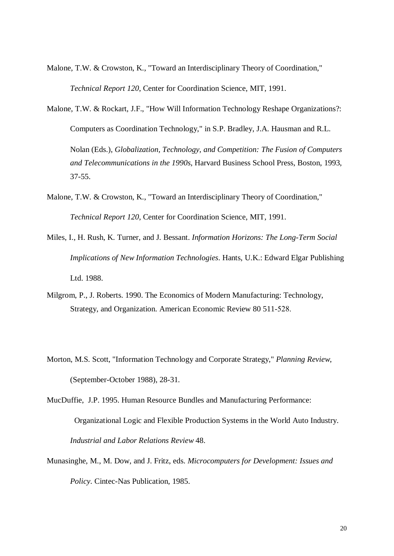- Malone, T.W. & Crowston, K., "Toward an Interdisciplinary Theory of Coordination," *Technical Report 120*, Center for Coordination Science, MIT, 1991.
- Malone, T.W. & Rockart, J.F., "How Will Information Technology Reshape Organizations?: Computers as Coordination Technology," in S.P. Bradley, J.A. Hausman and R.L. Nolan (Eds.), *Globalization, Technology, and Competition: The Fusion of Computers and Telecommunications in the 1990s*, Harvard Business School Press, Boston, 1993, 37-55.
- Malone, T.W. & Crowston, K., "Toward an Interdisciplinary Theory of Coordination," *Technical Report 120*, Center for Coordination Science, MIT, 1991.
- Miles, I., H. Rush, K. Turner, and J. Bessant. *Information Horizons: The Long-Term Social Implications of New Information Technologies*. Hants, U.K.: Edward Elgar Publishing Ltd. 1988.
- Milgrom, P., J. Roberts. 1990. The Economics of Modern Manufacturing: Technology, Strategy, and Organization. American Economic Review 80 511-528.
- Morton, M.S. Scott, "Information Technology and Corporate Strategy," *Planning Review*, (September-October 1988), 28-31.
- MucDuffie, J.P. 1995. Human Resource Bundles and Manufacturing Performance: Organizational Logic and Flexible Production Systems in the World Auto Industry. *Industrial and Labor Relations Review* 48.
- Munasinghe, M., M. Dow, and J. Fritz, eds. *Microcomputers for Development: Issues and Policy*. Cintec-Nas Publication, 1985.